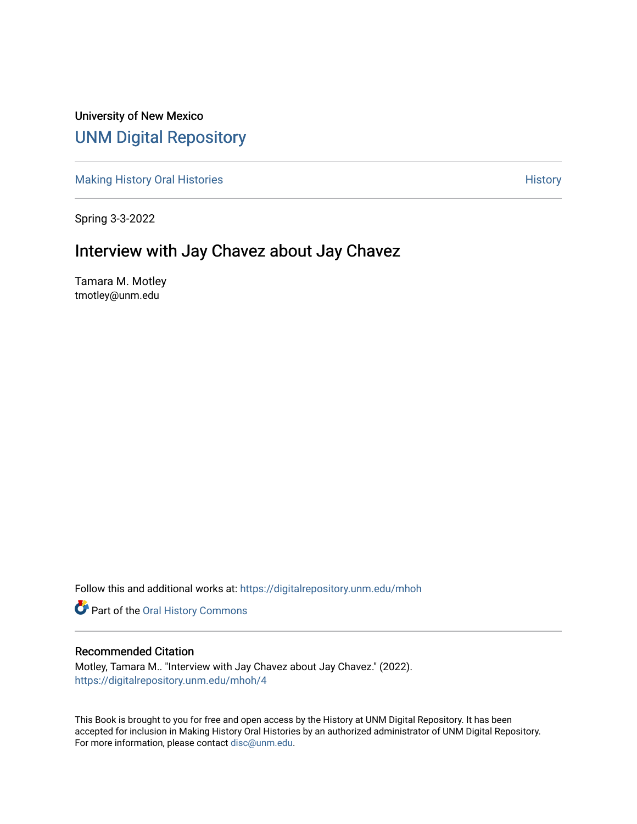## University of New Mexico [UNM Digital Repository](https://digitalrepository.unm.edu/)

[Making History Oral Histories](https://digitalrepository.unm.edu/mhoh) **[History](https://digitalrepository.unm.edu/hist) Oral History History** History

Spring 3-3-2022

## Interview with Jay Chavez about Jay Chavez

Tamara M. Motley tmotley@unm.edu

Follow this and additional works at: [https://digitalrepository.unm.edu/mhoh](https://digitalrepository.unm.edu/mhoh?utm_source=digitalrepository.unm.edu%2Fmhoh%2F4&utm_medium=PDF&utm_campaign=PDFCoverPages) 

Part of the [Oral History Commons](http://network.bepress.com/hgg/discipline/1195?utm_source=digitalrepository.unm.edu%2Fmhoh%2F4&utm_medium=PDF&utm_campaign=PDFCoverPages) 

## Recommended Citation

Motley, Tamara M.. "Interview with Jay Chavez about Jay Chavez." (2022). [https://digitalrepository.unm.edu/mhoh/4](https://digitalrepository.unm.edu/mhoh/4?utm_source=digitalrepository.unm.edu%2Fmhoh%2F4&utm_medium=PDF&utm_campaign=PDFCoverPages) 

This Book is brought to you for free and open access by the History at UNM Digital Repository. It has been accepted for inclusion in Making History Oral Histories by an authorized administrator of UNM Digital Repository. For more information, please contact [disc@unm.edu](mailto:disc@unm.edu).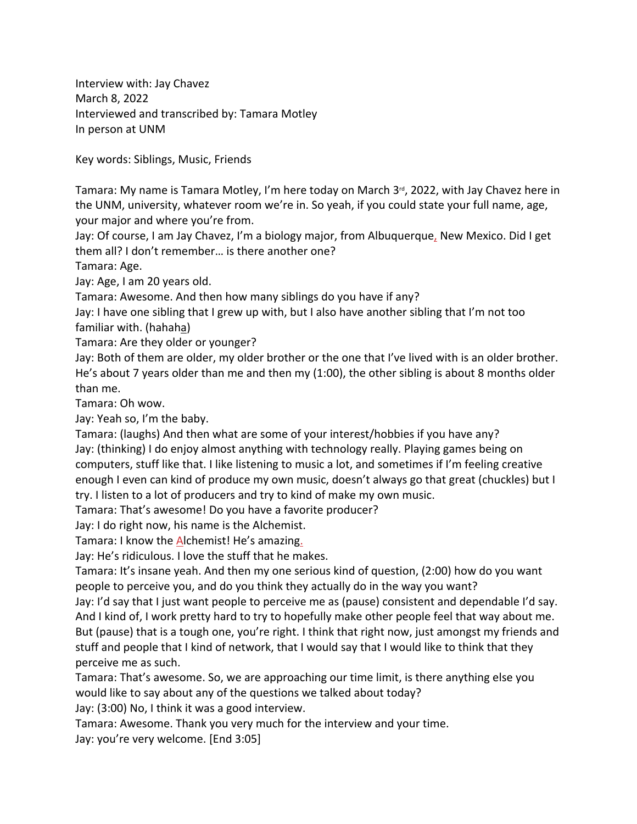Interview with: Jay Chavez March 8, 2022 Interviewed and transcribed by: Tamara Motley In person at UNM

Key words: Siblings, Music, Friends

Tamara: My name is Tamara Motley, I'm here today on March  $3<sup>d</sup>$ , 2022, with Jay Chavez here in the UNM, university, whatever room we're in. So yeah, if you could state your full name, age, your major and where you're from.

Jay: Of course, I am Jay Chavez, I'm a biology major, from Albuquerque, New Mexico. Did I get them all? I don't remember… is there another one?

Tamara: Age.

Jay: Age, I am 20 years old.

Tamara: Awesome. And then how many siblings do you have if any?

Jay: I have one sibling that I grew up with, but I also have another sibling that I'm not too familiar with. (hahaha)

Tamara: Are they older or younger?

Jay: Both of them are older, my older brother or the one that I've lived with is an older brother. He's about 7 years older than me and then my (1:00), the other sibling is about 8 months older than me.

Tamara: Oh wow.

Jay: Yeah so, I'm the baby.

Tamara: (laughs) And then what are some of your interest/hobbies if you have any? Jay: (thinking) I do enjoy almost anything with technology really. Playing games being on computers, stuff like that. I like listening to music a lot, and sometimes if I'm feeling creative enough I even can kind of produce my own music, doesn't always go that great (chuckles) but I try. I listen to a lot of producers and try to kind of make my own music.

Tamara: That's awesome! Do you have a favorite producer?

Jay: I do right now, his name is the Alchemist.

Tamara: I know the Alchemist! He's amazing.

Jay: He's ridiculous. I love the stuff that he makes.

Tamara: It's insane yeah. And then my one serious kind of question, (2:00) how do you want people to perceive you, and do you think they actually do in the way you want?

Jay: I'd say that I just want people to perceive me as (pause) consistent and dependable I'd say. And I kind of, I work pretty hard to try to hopefully make other people feel that way about me. But (pause) that is a tough one, you're right. I think that right now, just amongst my friends and stuff and people that I kind of network, that I would say that I would like to think that they perceive me as such.

Tamara: That's awesome. So, we are approaching our time limit, is there anything else you would like to say about any of the questions we talked about today?

Jay: (3:00) No, I think it was a good interview.

Tamara: Awesome. Thank you very much for the interview and your time.

Jay: you're very welcome. [End 3:05]